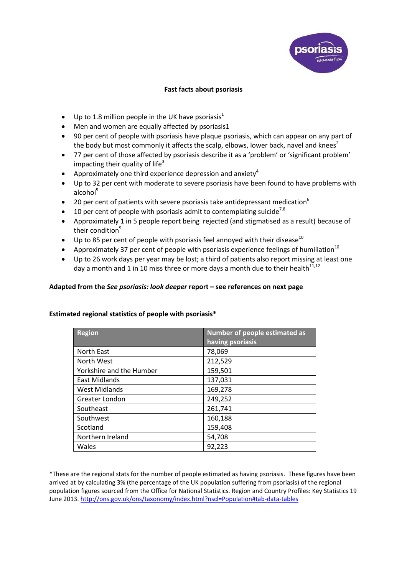

## <span id="page-0-1"></span><span id="page-0-0"></span>**Fast facts about psoriasis**

- $\bullet$  Up to 1.8 million people in the UK have psoriasis<sup>1</sup>
- Men and women are equally affected by psoriasi[s1](#page-0-0)
- 90 per cent of people with psoriasis have plaque psoriasis, which can appear on any part of the body but most commonly it affects the scalp, elbows, lower back, navel and knees<sup>2</sup>
- 77 per cent of those affected by psoriasis describe it as a 'problem' or 'significant problem' impacting their quality of life<sup>3</sup>
- Approximately one third experience depression and anxiety<sup>4</sup>
- Up to 32 per cent with moderate to severe psoriasis have been found to have problems with alcohol $5$
- **•** 20 per cent of patients with severe psoriasis take antidepressant medication<sup>6</sup>
- $\bullet$  10 per cent of people with psoriasis admit to contemplating suicide<sup>7,8</sup>
- Approximately 1 in 5 people report being rejected (and stigmatised as a result) because of their condition<sup>9</sup>
- $\bullet$  Up to 85 per cent of people with psoriasis feel annoyed with their disease<sup>10</sup>
- **•** Approximately 37 per cent of people with psoriasis experience feelings of humiliation<sup>[10](#page-0-1)</sup>
- Up to 26 work days per year may be lost; a third of patients also report missing at least one day a month and 1 in 10 miss three or more days a month due to their health $11,12$

## **Adapted from the** *See psoriasis: look deeper* **report – see references on next page**

## **Estimated regional statistics of people with psoriasis\***

| <b>Region</b>            | Number of people estimated as<br>having psoriasis |
|--------------------------|---------------------------------------------------|
| North East               | 78,069                                            |
| North West               | 212,529                                           |
| Yorkshire and the Humber | 159,501                                           |
| East Midlands            | 137,031                                           |
| <b>West Midlands</b>     | 169,278                                           |
| Greater London           | 249,252                                           |
| Southeast                | 261,741                                           |
| Southwest                | 160,188                                           |
| Scotland                 | 159,408                                           |
| Northern Ireland         | 54,708                                            |
| Wales                    | 92,223                                            |

\*These are the regional stats for the number of people estimated as having psoriasis. These figures have been arrived at by calculating 3% (the percentage of the UK population suffering from psoriasis) of the regional population figures sourced from the Office for National Statistics. Region and Country Profiles: Key Statistics 19 June 2013.<http://ons.gov.uk/ons/taxonomy/index.html?nscl=Population#tab-data-tables>